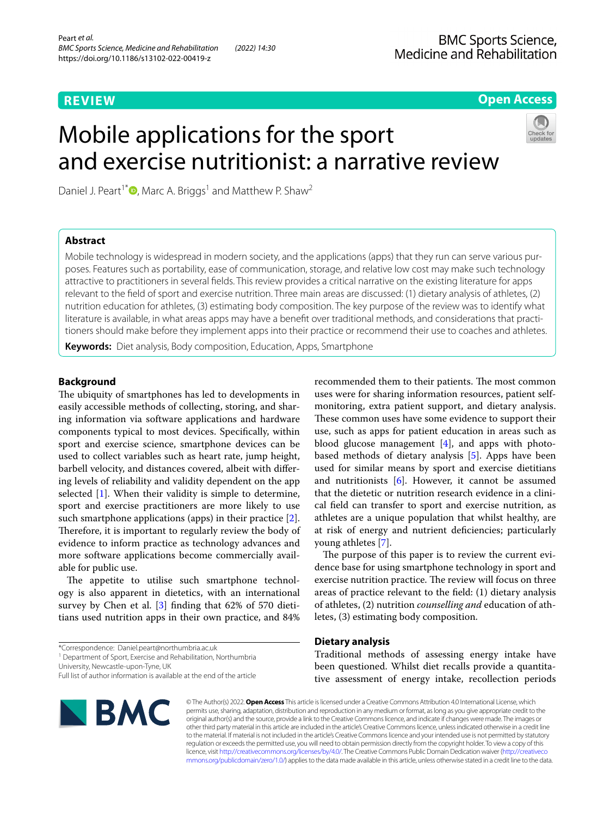# **REVIEW**

# **Open Access**

# Mobile applications for the sport and exercise nutritionist: a narrative review



Daniel J. Peart<sup>1\*</sup>  $\bullet$ [,](http://orcid.org/0000-0003-0849-3738) Marc A. Briggs<sup>1</sup> and Matthew P. Shaw<sup>2</sup>

# **Abstract**

Mobile technology is widespread in modern society, and the applications (apps) that they run can serve various purposes. Features such as portability, ease of communication, storage, and relative low cost may make such technology attractive to practitioners in several felds. This review provides a critical narrative on the existing literature for apps relevant to the feld of sport and exercise nutrition. Three main areas are discussed: (1) dietary analysis of athletes, (2) nutrition education for athletes, (3) estimating body composition. The key purpose of the review was to identify what literature is available, in what areas apps may have a benefit over traditional methods, and considerations that practitioners should make before they implement apps into their practice or recommend their use to coaches and athletes.

**Keywords:** Diet analysis, Body composition, Education, Apps, Smartphone

# **Background**

The ubiquity of smartphones has led to developments in easily accessible methods of collecting, storing, and sharing information via software applications and hardware components typical to most devices. Specifcally, within sport and exercise science, smartphone devices can be used to collect variables such as heart rate, jump height, barbell velocity, and distances covered, albeit with difering levels of reliability and validity dependent on the app selected [\[1](#page-6-0)]. When their validity is simple to determine, sport and exercise practitioners are more likely to use such smartphone applications (apps) in their practice [\[2](#page-6-1)]. Therefore, it is important to regularly review the body of evidence to inform practice as technology advances and more software applications become commercially available for public use.

The appetite to utilise such smartphone technology is also apparent in dietetics, with an international survey by Chen et al. [[3\]](#page-6-2) finding that 62% of 570 dietitians used nutrition apps in their own practice, and 84%

<sup>1</sup> Department of Sport, Exercise and Rehabilitation, Northumbria

University, Newcastle‑upon‑Tyne, UK

Full list of author information is available at the end of the article



recommended them to their patients. The most common uses were for sharing information resources, patient selfmonitoring, extra patient support, and dietary analysis. These common uses have some evidence to support their use, such as apps for patient education in areas such as blood glucose management  $[4]$  $[4]$ , and apps with photobased methods of dietary analysis [\[5](#page-6-4)]. Apps have been used for similar means by sport and exercise dietitians and nutritionists  $[6]$  $[6]$ . However, it cannot be assumed that the dietetic or nutrition research evidence in a clinical feld can transfer to sport and exercise nutrition, as athletes are a unique population that whilst healthy, are at risk of energy and nutrient defciencies; particularly young athletes [\[7](#page-6-6)].

The purpose of this paper is to review the current evidence base for using smartphone technology in sport and exercise nutrition practice. The review will focus on three areas of practice relevant to the feld: (1) dietary analysis of athletes, (2) nutrition *counselling and* education of athletes, (3) estimating body composition.

# **Dietary analysis**

Traditional methods of assessing energy intake have been questioned. Whilst diet recalls provide a quantitative assessment of energy intake, recollection periods

© The Author(s) 2022. **Open Access** This article is licensed under a Creative Commons Attribution 4.0 International License, which permits use, sharing, adaptation, distribution and reproduction in any medium or format, as long as you give appropriate credit to the original author(s) and the source, provide a link to the Creative Commons licence, and indicate if changes were made. The images or other third party material in this article are included in the article's Creative Commons licence, unless indicated otherwise in a credit line to the material. If material is not included in the article's Creative Commons licence and your intended use is not permitted by statutory regulation or exceeds the permitted use, you will need to obtain permission directly from the copyright holder. To view a copy of this licence, visit [http://creativecommons.org/licenses/by/4.0/.](http://creativecommons.org/licenses/by/4.0/) The Creative Commons Public Domain Dedication waiver ([http://creativeco](http://creativecommons.org/publicdomain/zero/1.0/) [mmons.org/publicdomain/zero/1.0/](http://creativecommons.org/publicdomain/zero/1.0/)) applies to the data made available in this article, unless otherwise stated in a credit line to the data.

<sup>\*</sup>Correspondence: Daniel.peart@northumbria.ac.uk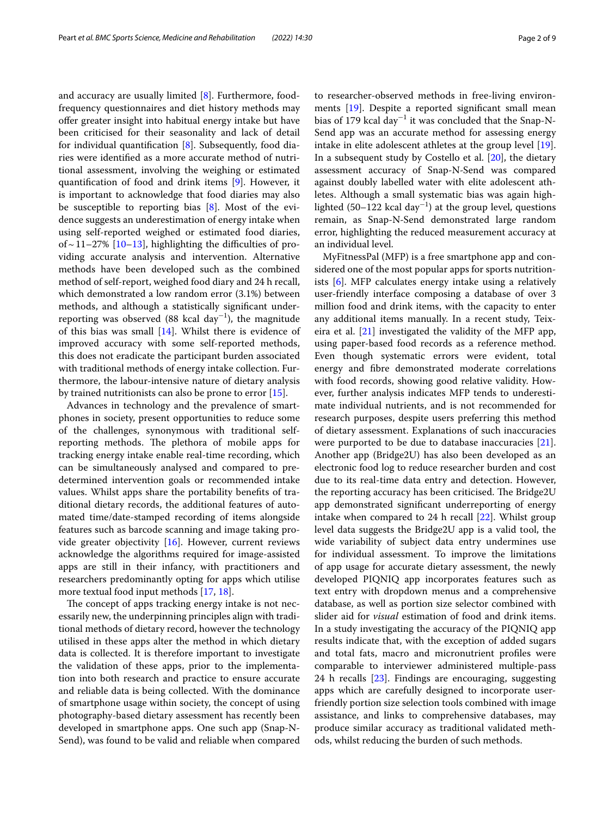and accuracy are usually limited [[8\]](#page-6-7). Furthermore, foodfrequency questionnaires and diet history methods may ofer greater insight into habitual energy intake but have been criticised for their seasonality and lack of detail for individual quantification  $[8]$  $[8]$ . Subsequently, food diaries were identifed as a more accurate method of nutritional assessment, involving the weighing or estimated quantifcation of food and drink items [[9\]](#page-6-8). However, it is important to acknowledge that food diaries may also be susceptible to reporting bias [[8](#page-6-7)]. Most of the evidence suggests an underestimation of energy intake when using self-reported weighed or estimated food diaries, of  $\sim$  11–27% [\[10](#page-6-9)[–13\]](#page-7-0), highlighting the difficulties of providing accurate analysis and intervention. Alternative methods have been developed such as the combined method of self-report, weighed food diary and 24 h recall, which demonstrated a low random error (3.1%) between methods, and although a statistically signifcant underreporting was observed (88 kcal  $\text{day}^{-1}$ ), the magnitude of this bias was small [\[14\]](#page-7-1). Whilst there is evidence of improved accuracy with some self-reported methods, this does not eradicate the participant burden associated with traditional methods of energy intake collection. Furthermore, the labour-intensive nature of dietary analysis by trained nutritionists can also be prone to error [[15\]](#page-7-2).

Advances in technology and the prevalence of smartphones in society, present opportunities to reduce some of the challenges, synonymous with traditional selfreporting methods. The plethora of mobile apps for tracking energy intake enable real-time recording, which can be simultaneously analysed and compared to predetermined intervention goals or recommended intake values. Whilst apps share the portability benefts of traditional dietary records, the additional features of automated time/date-stamped recording of items alongside features such as barcode scanning and image taking provide greater objectivity [[16\]](#page-7-3). However, current reviews acknowledge the algorithms required for image-assisted apps are still in their infancy, with practitioners and researchers predominantly opting for apps which utilise more textual food input methods [\[17,](#page-7-4) [18](#page-7-5)].

The concept of apps tracking energy intake is not necessarily new, the underpinning principles align with traditional methods of dietary record, however the technology utilised in these apps alter the method in which dietary data is collected. It is therefore important to investigate the validation of these apps, prior to the implementation into both research and practice to ensure accurate and reliable data is being collected. With the dominance of smartphone usage within society, the concept of using photography-based dietary assessment has recently been developed in smartphone apps. One such app (Snap-N-Send), was found to be valid and reliable when compared to researcher-observed methods in free-living environments [[19\]](#page-7-6). Despite a reported signifcant small mean bias of 179 kcal day<sup>-1</sup> it was concluded that the Snap-N-Send app was an accurate method for assessing energy intake in elite adolescent athletes at the group level [\[19](#page-7-6)]. In a subsequent study by Costello et al. [\[20](#page-7-7)], the dietary assessment accuracy of Snap-N-Send was compared against doubly labelled water with elite adolescent athletes. Although a small systematic bias was again highlighted (50–122 kcal day<sup>-1</sup>) at the group level, questions remain, as Snap-N-Send demonstrated large random error, highlighting the reduced measurement accuracy at an individual level.

MyFitnessPal (MFP) is a free smartphone app and considered one of the most popular apps for sports nutritionists [\[6](#page-6-5)]. MFP calculates energy intake using a relatively user-friendly interface composing a database of over 3 million food and drink items, with the capacity to enter any additional items manually. In a recent study, Teixeira et al.  $[21]$  $[21]$  investigated the validity of the MFP app, using paper-based food records as a reference method. Even though systematic errors were evident, total energy and fbre demonstrated moderate correlations with food records, showing good relative validity. However, further analysis indicates MFP tends to underestimate individual nutrients, and is not recommended for research purposes, despite users preferring this method of dietary assessment. Explanations of such inaccuracies were purported to be due to database inaccuracies [\[21](#page-7-8)]. Another app (Bridge2U) has also been developed as an electronic food log to reduce researcher burden and cost due to its real-time data entry and detection. However, the reporting accuracy has been criticised. The Bridge2U app demonstrated signifcant underreporting of energy intake when compared to 24 h recall [[22\]](#page-7-9). Whilst group level data suggests the Bridge2U app is a valid tool, the wide variability of subject data entry undermines use for individual assessment. To improve the limitations of app usage for accurate dietary assessment, the newly developed PIQNIQ app incorporates features such as text entry with dropdown menus and a comprehensive database, as well as portion size selector combined with slider aid for *visual* estimation of food and drink items. In a study investigating the accuracy of the PIQNIQ app results indicate that, with the exception of added sugars and total fats, macro and micronutrient profles were comparable to interviewer administered multiple-pass 24 h recalls [\[23](#page-7-10)]. Findings are encouraging, suggesting apps which are carefully designed to incorporate userfriendly portion size selection tools combined with image assistance, and links to comprehensive databases, may produce similar accuracy as traditional validated methods, whilst reducing the burden of such methods.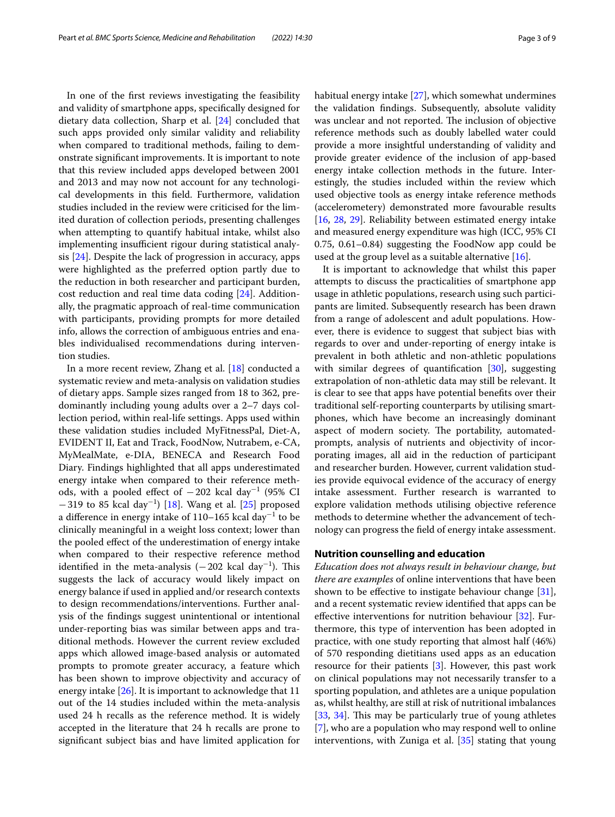In one of the frst reviews investigating the feasibility and validity of smartphone apps, specifcally designed for dietary data collection, Sharp et al. [[24](#page-7-11)] concluded that such apps provided only similar validity and reliability when compared to traditional methods, failing to demonstrate signifcant improvements. It is important to note that this review included apps developed between 2001 and 2013 and may now not account for any technological developments in this feld. Furthermore, validation studies included in the review were criticised for the limited duration of collection periods, presenting challenges when attempting to quantify habitual intake, whilst also implementing insufficient rigour during statistical analysis [[24\]](#page-7-11). Despite the lack of progression in accuracy, apps were highlighted as the preferred option partly due to the reduction in both researcher and participant burden, cost reduction and real time data coding [\[24\]](#page-7-11). Additionally, the pragmatic approach of real-time communication with participants, providing prompts for more detailed info, allows the correction of ambiguous entries and enables individualised recommendations during intervention studies.

In a more recent review, Zhang et al. [\[18\]](#page-7-5) conducted a systematic review and meta-analysis on validation studies of dietary apps. Sample sizes ranged from 18 to 362, predominantly including young adults over a 2–7 days collection period, within real-life settings. Apps used within these validation studies included MyFitnessPal, Diet-A, EVIDENT II, Eat and Track, FoodNow, Nutrabem, e-CA, MyMealMate, e-DIA, BENECA and Research Food Diary. Findings highlighted that all apps underestimated energy intake when compared to their reference methods, with a pooled effect of  $-202$  kcal day<sup>-1</sup> (95% CI −319 to 85 kcal day−<sup>1</sup> ) [[18\]](#page-7-5). Wang et al. [[25](#page-7-12)] proposed a difference in energy intake of 110–165 kcal day<sup>−1</sup> to be clinically meaningful in a weight loss context; lower than the pooled efect of the underestimation of energy intake when compared to their respective reference method identified in the meta-analysis  $(-202 \text{ kcal day}^{-1})$ . This suggests the lack of accuracy would likely impact on energy balance if used in applied and/or research contexts to design recommendations/interventions. Further analysis of the fndings suggest unintentional or intentional under-reporting bias was similar between apps and traditional methods. However the current review excluded apps which allowed image-based analysis or automated prompts to promote greater accuracy, a feature which has been shown to improve objectivity and accuracy of energy intake [\[26\]](#page-7-13). It is important to acknowledge that 11 out of the 14 studies included within the meta-analysis used 24 h recalls as the reference method. It is widely accepted in the literature that 24 h recalls are prone to signifcant subject bias and have limited application for

habitual energy intake [[27](#page-7-14)], which somewhat undermines the validation fndings. Subsequently, absolute validity was unclear and not reported. The inclusion of objective reference methods such as doubly labelled water could provide a more insightful understanding of validity and provide greater evidence of the inclusion of app-based energy intake collection methods in the future. Interestingly, the studies included within the review which used objective tools as energy intake reference methods (accelerometery) demonstrated more favourable results [[16,](#page-7-3) [28](#page-7-15), [29\]](#page-7-16). Reliability between estimated energy intake and measured energy expenditure was high (ICC, 95% CI 0.75, 0.61–0.84) suggesting the FoodNow app could be used at the group level as a suitable alternative [\[16\]](#page-7-3).

It is important to acknowledge that whilst this paper attempts to discuss the practicalities of smartphone app usage in athletic populations, research using such participants are limited. Subsequently research has been drawn from a range of adolescent and adult populations. However, there is evidence to suggest that subject bias with regards to over and under-reporting of energy intake is prevalent in both athletic and non-athletic populations with similar degrees of quantification [\[30](#page-7-17)], suggesting extrapolation of non-athletic data may still be relevant. It is clear to see that apps have potential benefts over their traditional self-reporting counterparts by utilising smartphones, which have become an increasingly dominant aspect of modern society. The portability, automatedprompts, analysis of nutrients and objectivity of incorporating images, all aid in the reduction of participant and researcher burden. However, current validation studies provide equivocal evidence of the accuracy of energy intake assessment. Further research is warranted to explore validation methods utilising objective reference methods to determine whether the advancement of technology can progress the feld of energy intake assessment.

## **Nutrition counselling and education**

*Education does not always result in behaviour change, but there are examples* of online interventions that have been shown to be efective to instigate behaviour change [\[31](#page-7-18)], and a recent systematic review identifed that apps can be efective interventions for nutrition behaviour [[32\]](#page-7-19). Furthermore, this type of intervention has been adopted in practice, with one study reporting that almost half (46%) of 570 responding dietitians used apps as an education resource for their patients [[3\]](#page-6-2). However, this past work on clinical populations may not necessarily transfer to a sporting population, and athletes are a unique population as, whilst healthy, are still at risk of nutritional imbalances [[33,](#page-7-20) [34](#page-7-21)]. This may be particularly true of young athletes [[7\]](#page-6-6), who are a population who may respond well to online interventions, with Zuniga et al. [\[35](#page-7-22)] stating that young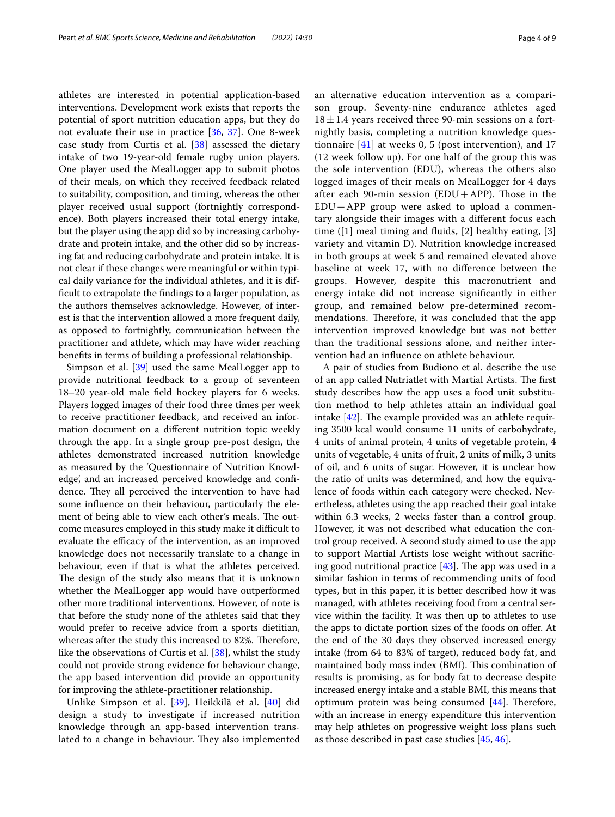athletes are interested in potential application-based interventions. Development work exists that reports the potential of sport nutrition education apps, but they do not evaluate their use in practice [[36](#page-7-23), [37](#page-7-24)]. One 8-week case study from Curtis et al. [\[38](#page-7-25)] assessed the dietary intake of two 19-year-old female rugby union players. One player used the MealLogger app to submit photos of their meals, on which they received feedback related to suitability, composition, and timing, whereas the other player received usual support (fortnightly correspondence). Both players increased their total energy intake, but the player using the app did so by increasing carbohydrate and protein intake, and the other did so by increasing fat and reducing carbohydrate and protein intake. It is not clear if these changes were meaningful or within typical daily variance for the individual athletes, and it is diffcult to extrapolate the fndings to a larger population, as the authors themselves acknowledge. However, of interest is that the intervention allowed a more frequent daily, as opposed to fortnightly, communication between the practitioner and athlete, which may have wider reaching benefts in terms of building a professional relationship.

Simpson et al. [\[39\]](#page-7-26) used the same MealLogger app to provide nutritional feedback to a group of seventeen 18–20 year-old male feld hockey players for 6 weeks. Players logged images of their food three times per week to receive practitioner feedback, and received an information document on a diferent nutrition topic weekly through the app. In a single group pre-post design, the athletes demonstrated increased nutrition knowledge as measured by the 'Questionnaire of Nutrition Knowledge', and an increased perceived knowledge and confdence. They all perceived the intervention to have had some infuence on their behaviour, particularly the element of being able to view each other's meals. The outcome measures employed in this study make it difficult to evaluate the efficacy of the intervention, as an improved knowledge does not necessarily translate to a change in behaviour, even if that is what the athletes perceived. The design of the study also means that it is unknown whether the MealLogger app would have outperformed other more traditional interventions. However, of note is that before the study none of the athletes said that they would prefer to receive advice from a sports dietitian, whereas after the study this increased to 82%. Therefore, like the observations of Curtis et al. [[38\]](#page-7-25), whilst the study could not provide strong evidence for behaviour change, the app based intervention did provide an opportunity for improving the athlete-practitioner relationship.

Unlike Simpson et al. [[39\]](#page-7-26), Heikkilä et al. [[40](#page-7-27)] did design a study to investigate if increased nutrition knowledge through an app-based intervention translated to a change in behaviour. They also implemented an alternative education intervention as a comparison group. Seventy-nine endurance athletes aged  $18 \pm 1.4$  years received three 90-min sessions on a fortnightly basis, completing a nutrition knowledge questionnaire [[41\]](#page-7-28) at weeks 0, 5 (post intervention), and 17 (12 week follow up). For one half of the group this was the sole intervention (EDU), whereas the others also logged images of their meals on MealLogger for 4 days after each 90-min session (EDU+APP). Those in the EDU+APP group were asked to upload a commentary alongside their images with a diferent focus each time ([1] meal timing and fuids, [2] healthy eating, [3] variety and vitamin D). Nutrition knowledge increased in both groups at week 5 and remained elevated above baseline at week 17, with no diference between the groups. However, despite this macronutrient and energy intake did not increase signifcantly in either group, and remained below pre-determined recommendations. Therefore, it was concluded that the app intervention improved knowledge but was not better than the traditional sessions alone, and neither intervention had an infuence on athlete behaviour.

A pair of studies from Budiono et al. describe the use of an app called Nutriatlet with Martial Artists. The first study describes how the app uses a food unit substitution method to help athletes attain an individual goal intake  $[42]$  $[42]$ . The example provided was an athlete requiring 3500 kcal would consume 11 units of carbohydrate, 4 units of animal protein, 4 units of vegetable protein, 4 units of vegetable, 4 units of fruit, 2 units of milk, 3 units of oil, and 6 units of sugar. However, it is unclear how the ratio of units was determined, and how the equivalence of foods within each category were checked. Nevertheless, athletes using the app reached their goal intake within 6.3 weeks, 2 weeks faster than a control group. However, it was not described what education the control group received. A second study aimed to use the app to support Martial Artists lose weight without sacrifcing good nutritional practice  $[43]$ . The app was used in a similar fashion in terms of recommending units of food types, but in this paper, it is better described how it was managed, with athletes receiving food from a central service within the facility. It was then up to athletes to use the apps to dictate portion sizes of the foods on ofer. At the end of the 30 days they observed increased energy intake (from 64 to 83% of target), reduced body fat, and maintained body mass index (BMI). This combination of results is promising, as for body fat to decrease despite increased energy intake and a stable BMI, this means that optimum protein was being consumed  $[44]$ . Therefore, with an increase in energy expenditure this intervention may help athletes on progressive weight loss plans such as those described in past case studies [\[45](#page-7-32), [46](#page-7-33)].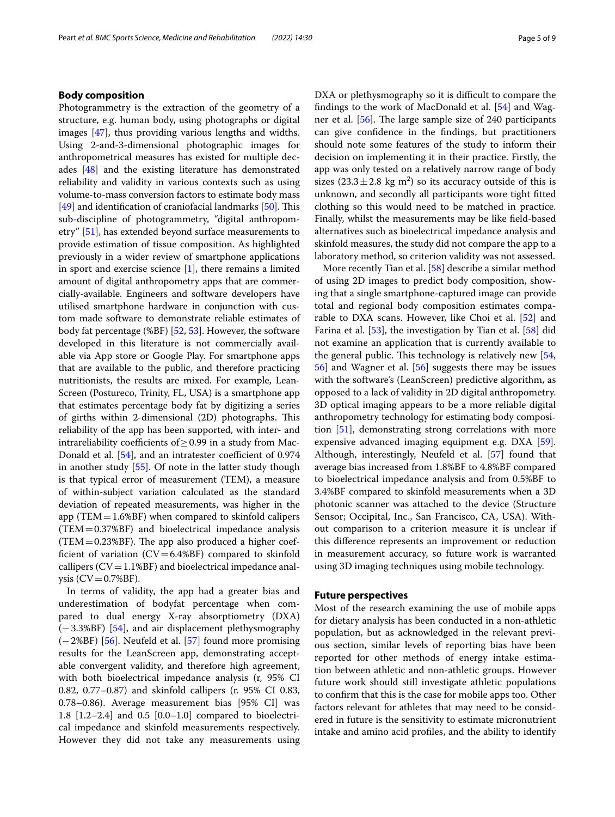# **Body composition**

Photogrammetry is the extraction of the geometry of a structure, e.g. human body, using photographs or digital images [[47\]](#page-7-34), thus providing various lengths and widths. Using 2-and-3-dimensional photographic images for anthropometrical measures has existed for multiple decades [[48](#page-7-35)] and the existing literature has demonstrated reliability and validity in various contexts such as using volume-to-mass conversion factors to estimate body mass  $[49]$  $[49]$  and identification of craniofacial landmarks  $[50]$  $[50]$ . This sub-discipline of photogrammetry, "digital anthropometry" [[51](#page-7-38)], has extended beyond surface measurements to provide estimation of tissue composition. As highlighted previously in a wider review of smartphone applications in sport and exercise science [\[1](#page-6-0)], there remains a limited amount of digital anthropometry apps that are commercially-available. Engineers and software developers have utilised smartphone hardware in conjunction with custom made software to demonstrate reliable estimates of body fat percentage (%BF) [\[52](#page-7-39), [53](#page-7-40)]. However, the software developed in this literature is not commercially available via App store or Google Play. For smartphone apps that are available to the public, and therefore practicing nutritionists, the results are mixed. For example, Lean-Screen (Postureco, Trinity, FL, USA) is a smartphone app that estimates percentage body fat by digitizing a series of girths within 2-dimensional (2D) photographs. This reliability of the app has been supported, with inter- and intrareliability coefficients of  $\geq$  0.99 in a study from Mac-Donald et al. [[54](#page-7-41)], and an intratester coefficient of 0.974 in another study [\[55\]](#page-8-0). Of note in the latter study though is that typical error of measurement (TEM), a measure of within-subject variation calculated as the standard deviation of repeated measurements, was higher in the app (TEM  $=$  1.6%BF) when compared to skinfold calipers (TEM=0.37%BF) and bioelectrical impedance analysis  $(TEM = 0.23%BF)$ . The app also produced a higher coefficient of variation  $(CV=6.4%BF)$  compared to skinfold callipers  $(CV=1.1%BF)$  and bioelectrical impedance anal $ysis$  (CV = 0.7%BF).

In terms of validity, the app had a greater bias and underestimation of bodyfat percentage when compared to dual energy X-ray absorptiometry (DXA) (−3.3%BF) [\[54](#page-7-41)], and air displacement plethysmography (−2%BF) [\[56](#page-8-1)]. Neufeld et al. [\[57](#page-8-2)] found more promising results for the LeanScreen app, demonstrating acceptable convergent validity, and therefore high agreement, with both bioelectrical impedance analysis (r, 95% CI 0.82, 0.77–0.87) and skinfold callipers (r. 95% CI 0.83, 0.78–0.86). Average measurement bias [95% CI] was 1.8 [1.2–2.4] and 0.5 [0.0–1.0] compared to bioelectrical impedance and skinfold measurements respectively. However they did not take any measurements using DXA or plethysmography so it is difficult to compare the fndings to the work of MacDonald et al. [[54\]](#page-7-41) and Wagner et al.  $[56]$  $[56]$ . The large sample size of 240 participants can give confdence in the fndings, but practitioners should note some features of the study to inform their decision on implementing it in their practice. Firstly, the app was only tested on a relatively narrow range of body sizes  $(23.3 \pm 2.8 \text{ kg m}^2)$  so its accuracy outside of this is unknown, and secondly all participants wore tight ftted clothing so this would need to be matched in practice. Finally, whilst the measurements may be like feld-based alternatives such as bioelectrical impedance analysis and skinfold measures, the study did not compare the app to a laboratory method, so criterion validity was not assessed.

More recently Tian et al. [[58\]](#page-8-3) describe a similar method of using 2D images to predict body composition, showing that a single smartphone-captured image can provide total and regional body composition estimates comparable to DXA scans. However, like Choi et al. [\[52](#page-7-39)] and Farina et al. [[53](#page-7-40)], the investigation by Tian et al. [\[58](#page-8-3)] did not examine an application that is currently available to the general public. This technology is relatively new  $[54, 54]$  $[54, 54]$  $[54, 54]$ [56\]](#page-8-1) and Wagner et al. [[56](#page-8-1)] suggests there may be issues with the software's (LeanScreen) predictive algorithm, as opposed to a lack of validity in 2D digital anthropometry. 3D optical imaging appears to be a more reliable digital anthropometry technology for estimating body composition [[51](#page-7-38)], demonstrating strong correlations with more expensive advanced imaging equipment e.g. DXA [\[59](#page-8-4)]. Although, interestingly, Neufeld et al. [\[57](#page-8-2)] found that average bias increased from 1.8%BF to 4.8%BF compared to bioelectrical impedance analysis and from 0.5%BF to 3.4%BF compared to skinfold measurements when a 3D photonic scanner was attached to the device (Structure Sensor; Occipital, Inc., San Francisco, CA, USA). Without comparison to a criterion measure it is unclear if this diference represents an improvement or reduction in measurement accuracy, so future work is warranted using 3D imaging techniques using mobile technology.

# **Future perspectives**

Most of the research examining the use of mobile apps for dietary analysis has been conducted in a non-athletic population, but as acknowledged in the relevant previous section, similar levels of reporting bias have been reported for other methods of energy intake estimation between athletic and non-athletic groups. However future work should still investigate athletic populations to confrm that this is the case for mobile apps too. Other factors relevant for athletes that may need to be considered in future is the sensitivity to estimate micronutrient intake and amino acid profles, and the ability to identify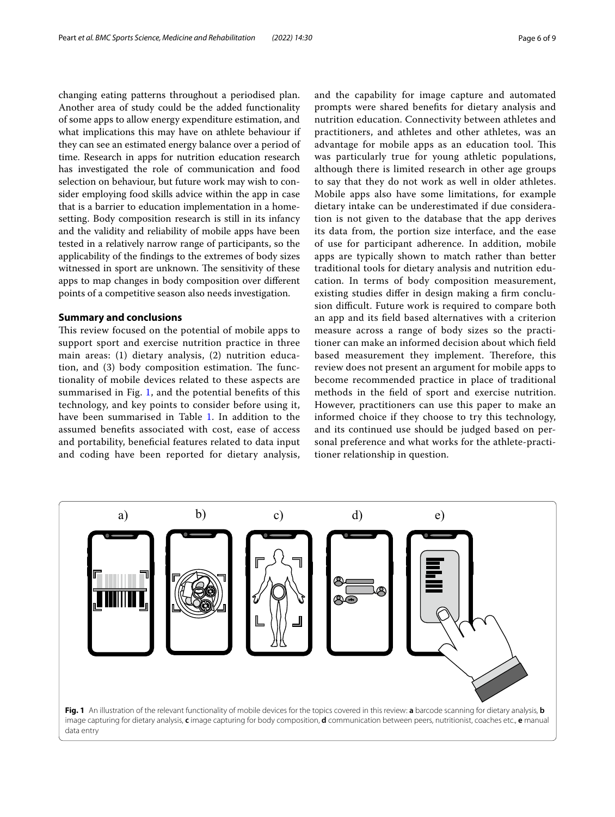changing eating patterns throughout a periodised plan. Another area of study could be the added functionality of some apps to allow energy expenditure estimation, and what implications this may have on athlete behaviour if they can see an estimated energy balance over a period of time. Research in apps for nutrition education research has investigated the role of communication and food selection on behaviour, but future work may wish to consider employing food skills advice within the app in case that is a barrier to education implementation in a homesetting. Body composition research is still in its infancy and the validity and reliability of mobile apps have been tested in a relatively narrow range of participants, so the applicability of the fndings to the extremes of body sizes witnessed in sport are unknown. The sensitivity of these apps to map changes in body composition over diferent points of a competitive season also needs investigation.

## **Summary and conclusions**

This review focused on the potential of mobile apps to support sport and exercise nutrition practice in three main areas: (1) dietary analysis, (2) nutrition education, and  $(3)$  body composition estimation. The functionality of mobile devices related to these aspects are summarised in Fig. [1](#page-5-0), and the potential benefts of this technology, and key points to consider before using it, have been summarised in Table [1](#page-6-10). In addition to the assumed benefts associated with cost, ease of access and portability, benefcial features related to data input and coding have been reported for dietary analysis, and the capability for image capture and automated prompts were shared benefts for dietary analysis and nutrition education. Connectivity between athletes and practitioners, and athletes and other athletes, was an advantage for mobile apps as an education tool. This was particularly true for young athletic populations, although there is limited research in other age groups to say that they do not work as well in older athletes. Mobile apps also have some limitations, for example dietary intake can be underestimated if due consideration is not given to the database that the app derives its data from, the portion size interface, and the ease of use for participant adherence. In addition, mobile apps are typically shown to match rather than better traditional tools for dietary analysis and nutrition education. In terms of body composition measurement, existing studies difer in design making a frm conclusion difficult. Future work is required to compare both an app and its feld based alternatives with a criterion measure across a range of body sizes so the practitioner can make an informed decision about which feld based measurement they implement. Therefore, this review does not present an argument for mobile apps to become recommended practice in place of traditional methods in the feld of sport and exercise nutrition. However, practitioners can use this paper to make an informed choice if they choose to try this technology, and its continued use should be judged based on personal preference and what works for the athlete-practitioner relationship in question.

<span id="page-5-0"></span>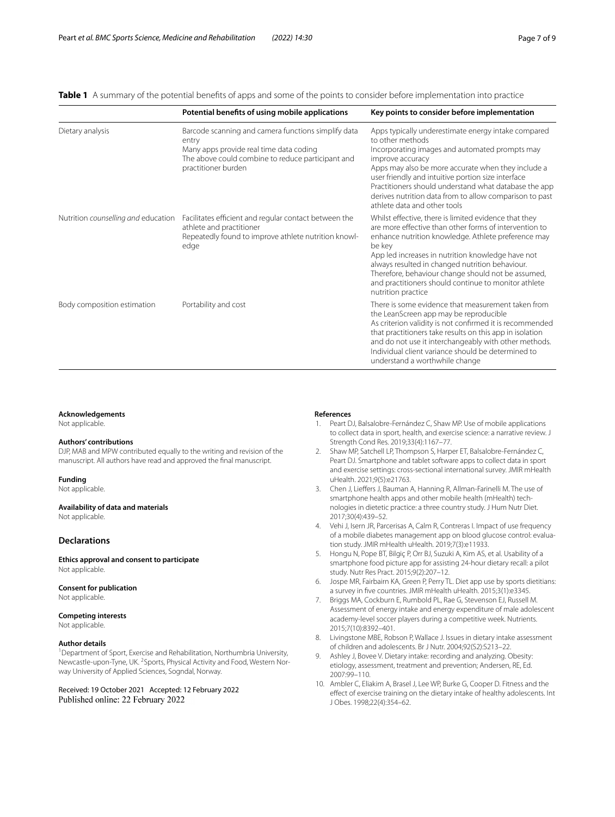# <span id="page-6-10"></span>**Table 1** A summary of the potential benefts of apps and some of the points to consider before implementation into practice

|                                     | Potential benefits of using mobile applications                                                                                                                                     | Key points to consider before implementation                                                                                                                                                                                                                                                                                                                                                                                 |
|-------------------------------------|-------------------------------------------------------------------------------------------------------------------------------------------------------------------------------------|------------------------------------------------------------------------------------------------------------------------------------------------------------------------------------------------------------------------------------------------------------------------------------------------------------------------------------------------------------------------------------------------------------------------------|
| Dietary analysis                    | Barcode scanning and camera functions simplify data<br>entry<br>Many apps provide real time data coding<br>The above could combine to reduce participant and<br>practitioner burden | Apps typically underestimate energy intake compared<br>to other methods<br>Incorporating images and automated prompts may<br>improve accuracy<br>Apps may also be more accurate when they include a<br>user friendly and intuitive portion size interface<br>Practitioners should understand what database the app<br>derives nutrition data from to allow comparison to past<br>athlete data and other tools                |
| Nutrition counselling and education | Facilitates efficient and regular contact between the<br>athlete and practitioner<br>Repeatedly found to improve athlete nutrition knowl-<br>edge                                   | Whilst effective, there is limited evidence that they<br>are more effective than other forms of intervention to<br>enhance nutrition knowledge. Athlete preference may<br>be key<br>App led increases in nutrition knowledge have not<br>always resulted in changed nutrition behaviour.<br>Therefore, behaviour change should not be assumed,<br>and practitioners should continue to monitor athlete<br>nutrition practice |
| Body composition estimation         | Portability and cost                                                                                                                                                                | There is some evidence that measurement taken from<br>the LeanScreen app may be reproducible<br>As criterion validity is not confirmed it is recommended<br>that practitioners take results on this app in isolation<br>and do not use it interchangeably with other methods.<br>Individual client variance should be determined to<br>understand a worthwhile change                                                        |

## **Acknowledgements**

Not applicable.

#### **Authors' contributions**

DJP, MAB and MPW contributed equally to the writing and revision of the manuscript. All authors have read and approved the fnal manuscript.

**Funding**

Not applicable.

## **Availability of data and materials**

Not applicable.

## **Declarations**

**Ethics approval and consent to participate** Not applicable.

#### **Consent for publication**

Not applicable.

#### **Competing interests** Not applicable.

# **Author details**

<sup>1</sup> Department of Sport, Exercise and Rehabilitation, Northumbria University, Newcastle-upon-Tyne, UK. <sup>2</sup>Sports, Physical Activity and Food, Western Norway University of Applied Sciences, Sogndal, Norway.

Received: 19 October 2021 Accepted: 12 February 2022 Published online: 22 February 2022

#### **References**

- <span id="page-6-0"></span>1. Peart DJ, Balsalobre-Fernández C, Shaw MP. Use of mobile applications to collect data in sport, health, and exercise science: a narrative review. J Strength Cond Res. 2019;33(4):1167–77.
- <span id="page-6-1"></span>2. Shaw MP, Satchell LP, Thompson S, Harper ET, Balsalobre-Fernández C, Peart DJ. Smartphone and tablet software apps to collect data in sport and exercise settings: cross-sectional international survey. JMIR mHealth uHealth. 2021;9(5):e21763.
- <span id="page-6-2"></span>3. Chen J, Liefers J, Bauman A, Hanning R, Allman-Farinelli M. The use of smartphone health apps and other mobile health (mHealth) technologies in dietetic practice: a three country study. J Hum Nutr Diet. 2017;30(4):439–52.
- <span id="page-6-3"></span>4. Vehi J, Isern JR, Parcerisas A, Calm R, Contreras I. Impact of use frequency of a mobile diabetes management app on blood glucose control: evaluation study. JMIR mHealth uHealth. 2019;7(3):e11933.
- <span id="page-6-4"></span>5. Hongu N, Pope BT, Bilgiç P, Orr BJ, Suzuki A, Kim AS, et al. Usability of a smartphone food picture app for assisting 24-hour dietary recall: a pilot study. Nutr Res Pract. 2015;9(2):207–12.
- <span id="page-6-5"></span>6. Jospe MR, Fairbairn KA, Green P, Perry TL. Diet app use by sports dietitians: a survey in fve countries. JMIR mHealth uHealth. 2015;3(1):e3345.
- <span id="page-6-6"></span>7. Briggs MA, Cockburn E, Rumbold PL, Rae G, Stevenson EJ, Russell M. Assessment of energy intake and energy expenditure of male adolescent academy-level soccer players during a competitive week. Nutrients. 2015;7(10):8392–401.
- <span id="page-6-7"></span>8. Livingstone MBE, Robson P, Wallace J. Issues in dietary intake assessment of children and adolescents. Br J Nutr. 2004;92(S2):S213–22.
- <span id="page-6-8"></span>9. Ashley J, Bovee V. Dietary intake: recording and analyzing. Obesity: etiology, assessment, treatment and prevention; Andersen, RE, Ed. 2007:99–110.
- <span id="page-6-9"></span>10. Ambler C, Eliakim A, Brasel J, Lee WP, Burke G, Cooper D. Fitness and the efect of exercise training on the dietary intake of healthy adolescents. Int J Obes. 1998;22(4):354–62.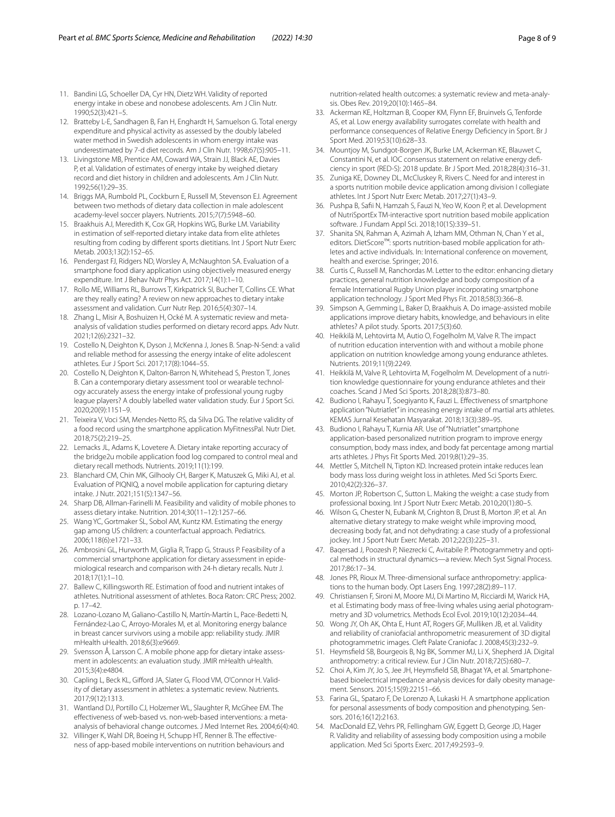- 11. Bandini LG, Schoeller DA, Cyr HN, Dietz WH. Validity of reported energy intake in obese and nonobese adolescents. Am J Clin Nutr. 1990;52(3):421–5.
- 12. Bratteby L-E, Sandhagen B, Fan H, Enghardt H, Samuelson G. Total energy expenditure and physical activity as assessed by the doubly labeled water method in Swedish adolescents in whom energy intake was underestimated by 7-d diet records. Am J Clin Nutr. 1998;67(5):905–11.
- <span id="page-7-0"></span>13. Livingstone MB, Prentice AM, Coward WA, Strain JJ, Black AE, Davies P, et al. Validation of estimates of energy intake by weighed dietary record and diet history in children and adolescents. Am J Clin Nutr. 1992;56(1):29–35.
- <span id="page-7-1"></span>14. Briggs MA, Rumbold PL, Cockburn E, Russell M, Stevenson EJ. Agreement between two methods of dietary data collection in male adolescent academy-level soccer players. Nutrients. 2015;7(7):5948–60.
- <span id="page-7-2"></span>15. Braakhuis AJ, Meredith K, Cox GR, Hopkins WG, Burke LM. Variability in estimation of self-reported dietary intake data from elite athletes resulting from coding by diferent sports dietitians. Int J Sport Nutr Exerc Metab. 2003;13(2):152–65.
- <span id="page-7-3"></span>16. Pendergast FJ, Ridgers ND, Worsley A, McNaughton SA. Evaluation of a smartphone food diary application using objectively measured energy expenditure. Int J Behav Nutr Phys Act. 2017;14(1):1–10.
- <span id="page-7-4"></span>17. Rollo ME, Williams RL, Burrows T, Kirkpatrick SI, Bucher T, Collins CE. What are they really eating? A review on new approaches to dietary intake assessment and validation. Curr Nutr Rep. 2016;5(4):307–14.
- <span id="page-7-5"></span>18. Zhang L, Misir A, Boshuizen H, Ocké M. A systematic review and metaanalysis of validation studies performed on dietary record apps. Adv Nutr. 2021;12(6):2321–32.
- <span id="page-7-6"></span>19. Costello N, Deighton K, Dyson J, McKenna J, Jones B. Snap-N-Send: a valid and reliable method for assessing the energy intake of elite adolescent athletes. Eur J Sport Sci. 2017;17(8):1044–55.
- <span id="page-7-7"></span>20. Costello N, Deighton K, Dalton-Barron N, Whitehead S, Preston T, Jones B. Can a contemporary dietary assessment tool or wearable technology accurately assess the energy intake of professional young rugby league players? A doubly labelled water validation study. Eur J Sport Sci. 2020;20(9):1151–9.
- <span id="page-7-8"></span>21. Teixeira V, Voci SM, Mendes-Netto RS, da Silva DG. The relative validity of a food record using the smartphone application MyFitnessPal. Nutr Diet. 2018;75(2):219–25.
- <span id="page-7-9"></span>22. Lemacks JL, Adams K, Lovetere A. Dietary intake reporting accuracy of the bridge2u mobile application food log compared to control meal and dietary recall methods. Nutrients. 2019;11(1):199.
- <span id="page-7-10"></span>23. Blanchard CM, Chin MK, Gilhooly CH, Barger K, Matuszek G, Miki AJ, et al. Evaluation of PIQNIQ, a novel mobile application for capturing dietary intake. J Nutr. 2021;151(5):1347–56.
- <span id="page-7-11"></span>24. Sharp DB, Allman-Farinelli M. Feasibility and validity of mobile phones to assess dietary intake. Nutrition. 2014;30(11–12):1257–66.
- <span id="page-7-12"></span>25. Wang YC, Gortmaker SL, Sobol AM, Kuntz KM. Estimating the energy gap among US children: a counterfactual approach. Pediatrics. 2006;118(6):e1721–33.
- <span id="page-7-13"></span>26. Ambrosini GL, Hurworth M, Giglia R, Trapp G, Strauss P. Feasibility of a commercial smartphone application for dietary assessment in epidemiological research and comparison with 24-h dietary recalls. Nutr J. 2018;17(1):1–10.
- <span id="page-7-14"></span>27. Ballew C, Killingsworth RE. Estimation of food and nutrient intakes of athletes. Nutritional assessment of athletes. Boca Raton: CRC Press; 2002. p. 17–42.
- <span id="page-7-15"></span>28. Lozano-Lozano M, Galiano-Castillo N, Martín-Martín L, Pace-Bedetti N, Fernández-Lao C, Arroyo-Morales M, et al. Monitoring energy balance in breast cancer survivors using a mobile app: reliability study. JMIR mHealth uHealth. 2018;6(3):e9669.
- <span id="page-7-16"></span>29. Svensson Å, Larsson C. A mobile phone app for dietary intake assessment in adolescents: an evaluation study. JMIR mHealth uHealth. 2015;3(4):e4804.
- <span id="page-7-17"></span>30. Capling L, Beck KL, Gifford JA, Slater G, Flood VM, O'Connor H. Validity of dietary assessment in athletes: a systematic review. Nutrients. 2017;9(12):1313.
- <span id="page-7-18"></span>31. Wantland DJ, Portillo CJ, Holzemer WL, Slaughter R, McGhee EM. The efectiveness of web-based vs. non-web-based interventions: a metaanalysis of behavioral change outcomes. J Med Internet Res. 2004;6(4):40.
- <span id="page-7-19"></span>32. Villinger K, Wahl DR, Boeing H, Schupp HT, Renner B. The effectiveness of app-based mobile interventions on nutrition behaviours and

nutrition-related health outcomes: a systematic review and meta-analysis. Obes Rev. 2019;20(10):1465–84.

- <span id="page-7-20"></span>33. Ackerman KE, Holtzman B, Cooper KM, Flynn EF, Bruinvels G, Tenforde AS, et al. Low energy availability surrogates correlate with health and performance consequences of Relative Energy Defciency in Sport. Br J Sport Med. 2019;53(10):628–33.
- <span id="page-7-21"></span>34. Mountjoy M, Sundgot-Borgen JK, Burke LM, Ackerman KE, Blauwet C, Constantini N, et al. IOC consensus statement on relative energy deficiency in sport (RED-S): 2018 update. Br J Sport Med. 2018;28(4):316–31.
- <span id="page-7-22"></span>35. Zuniga KE, Downey DL, McCluskey R, Rivers C. Need for and interest in a sports nutrition mobile device application among division I collegiate athletes. Int J Sport Nutr Exerc Metab. 2017;27(1):43–9.
- <span id="page-7-23"></span>36. Pushpa B, Safi N, Hamzah S, Fauzi N, Yeo W, Koon P, et al. Development of NutriSportEx TM-interactive sport nutrition based mobile application software. J Fundam Appl Sci. 2018;10(1S):339–51.
- <span id="page-7-24"></span>37. Shanita SN, Rahman A, Azimah A, Izham MM, Othman N, Chan Y et al., editors. DietScore™: sports nutrition-based mobile application for ath– letes and active individuals. In: International conference on movement, health and exercise. Springer; 2016.
- <span id="page-7-25"></span>38. Curtis C, Russell M, Ranchordas M. Letter to the editor: enhancing dietary practices, general nutrition knowledge and body composition of a female International Rugby Union player incorporating smartphone application technology. J Sport Med Phys Fit. 2018;58(3):366–8.
- <span id="page-7-26"></span>39. Simpson A, Gemming L, Baker D, Braakhuis A. Do image-assisted mobile applications improve dietary habits, knowledge, and behaviours in elite athletes? A pilot study. Sports. 2017;5(3):60.
- <span id="page-7-27"></span>40. Heikkilä M, Lehtovirta M, Autio O, Fogelholm M, Valve R. The impact of nutrition education intervention with and without a mobile phone application on nutrition knowledge among young endurance athletes. Nutrients. 2019;11(9):2249.
- <span id="page-7-28"></span>41. Heikkilä M, Valve R, Lehtovirta M, Fogelholm M. Development of a nutrition knowledge questionnaire for young endurance athletes and their coaches. Scand J Med Sci Sports. 2018;28(3):873–80.
- <span id="page-7-29"></span>42. Budiono I, Rahayu T, Soegiyanto K, Fauzi L. Efectiveness of smartphone application "Nutriatlet" in increasing energy intake of martial arts athletes. KEMAS Jurnal Kesehatan Masyarakat. 2018;13(3):389–95.
- <span id="page-7-30"></span>43. Budiono I, Rahayu T, Kurnia AR. Use of "Nutriatlet" smartphone application-based personalized nutrition program to improve energy consumption, body mass index, and body fat percentage among martial arts athletes. J Phys Fit Sports Med. 2019;8(1):29–35.
- <span id="page-7-31"></span>44. Mettler S, Mitchell N, Tipton KD. Increased protein intake reduces lean body mass loss during weight loss in athletes. Med Sci Sports Exerc. 2010;42(2):326–37.
- <span id="page-7-32"></span>45. Morton JP, Robertson C, Sutton L. Making the weight: a case study from professional boxing. Int J Sport Nutr Exerc Metab. 2010;20(1):80–5.
- <span id="page-7-33"></span>46. Wilson G, Chester N, Eubank M, Crighton B, Drust B, Morton JP, et al. An alternative dietary strategy to make weight while improving mood, decreasing body fat, and not dehydrating: a case study of a professional jockey. Int J Sport Nutr Exerc Metab. 2012;22(3):225–31.
- <span id="page-7-34"></span>47. Baqersad J, Poozesh P, Niezrecki C, Avitabile P. Photogrammetry and optical methods in structural dynamics—a review. Mech Syst Signal Process. 2017;86:17–34.
- <span id="page-7-35"></span>48. Jones PR, Rioux M. Three-dimensional surface anthropometry: applications to the human body. Opt Lasers Eng. 1997;28(2):89–117.
- <span id="page-7-36"></span>49. Christiansen F, Sironi M, Moore MJ, Di Martino M, Ricciardi M, Warick HA, et al. Estimating body mass of free-living whales using aerial photogrammetry and 3D volumetrics. Methods Ecol Evol. 2019;10(12):2034–44.
- <span id="page-7-37"></span>50. Wong JY, Oh AK, Ohta E, Hunt AT, Rogers GF, Mulliken JB, et al. Validity and reliability of craniofacial anthropometric measurement of 3D digital photogrammetric images. Cleft Palate Craniofac J. 2008;45(3):232–9.
- <span id="page-7-38"></span>51. Heymsfeld SB, Bourgeois B, Ng BK, Sommer MJ, Li X, Shepherd JA. Digital anthropometry: a critical review. Eur J Clin Nutr. 2018;72(5):680–7.
- <span id="page-7-39"></span>52. Choi A, Kim JY, Jo S, Jee JH, Heymsfeld SB, Bhagat YA, et al. Smartphonebased bioelectrical impedance analysis devices for daily obesity management. Sensors. 2015;15(9):22151–66.
- <span id="page-7-40"></span>53. Farina GL, Spataro F, De Lorenzo A, Lukaski H. A smartphone application for personal assessments of body composition and phenotyping. Sensors. 2016;16(12):2163.
- <span id="page-7-41"></span>54. MacDonald EZ, Vehrs PR, Fellingham GW, Eggett D, George JD, Hager R. Validity and reliability of assessing body composition using a mobile application. Med Sci Sports Exerc. 2017;49:2593–9.